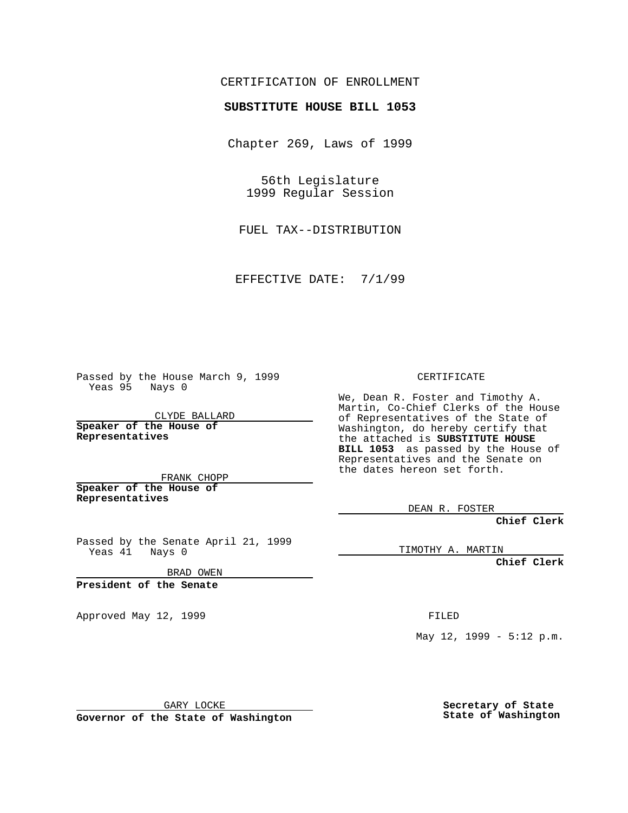## CERTIFICATION OF ENROLLMENT

## **SUBSTITUTE HOUSE BILL 1053**

Chapter 269, Laws of 1999

56th Legislature 1999 Regular Session

FUEL TAX--DISTRIBUTION

EFFECTIVE DATE: 7/1/99

Passed by the House March 9, 1999 Yeas 95 Nays 0

CLYDE BALLARD **Speaker of the House of Representatives**

FRANK CHOPP **Speaker of the House of Representatives**

Passed by the Senate April 21, 1999 Yeas 41 Nays 0

BRAD OWEN

**President of the Senate**

Approved May 12, 1999 **FILED** 

CERTIFICATE

We, Dean R. Foster and Timothy A. Martin, Co-Chief Clerks of the House of Representatives of the State of Washington, do hereby certify that the attached is **SUBSTITUTE HOUSE BILL 1053** as passed by the House of Representatives and the Senate on the dates hereon set forth.

DEAN R. FOSTER

**Chief Clerk**

TIMOTHY A. MARTIN

**Chief Clerk**

May 12, 1999 - 5:12 p.m.

GARY LOCKE

**Governor of the State of Washington**

**Secretary of State State of Washington**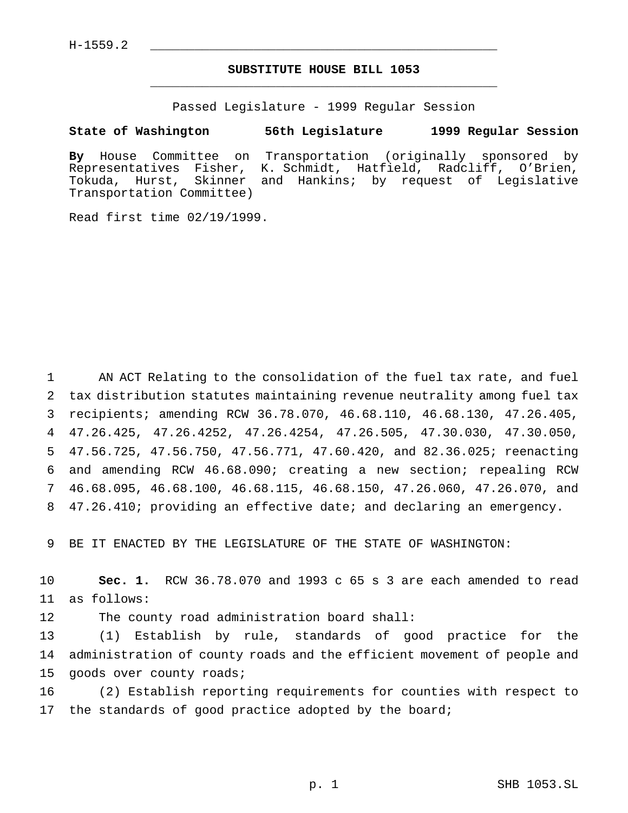## **SUBSTITUTE HOUSE BILL 1053** \_\_\_\_\_\_\_\_\_\_\_\_\_\_\_\_\_\_\_\_\_\_\_\_\_\_\_\_\_\_\_\_\_\_\_\_\_\_\_\_\_\_\_\_\_\_\_

Passed Legislature - 1999 Regular Session

## **State of Washington 56th Legislature 1999 Regular Session**

**By** House Committee on Transportation (originally sponsored by Representatives Fisher, K. Schmidt, Hatfield, Radcliff, O'Brien, Tokuda, Hurst, Skinner and Hankins; by request of Legislative Transportation Committee)

Read first time 02/19/1999.

 AN ACT Relating to the consolidation of the fuel tax rate, and fuel tax distribution statutes maintaining revenue neutrality among fuel tax recipients; amending RCW 36.78.070, 46.68.110, 46.68.130, 47.26.405, 47.26.425, 47.26.4252, 47.26.4254, 47.26.505, 47.30.030, 47.30.050, 47.56.725, 47.56.750, 47.56.771, 47.60.420, and 82.36.025; reenacting and amending RCW 46.68.090; creating a new section; repealing RCW 46.68.095, 46.68.100, 46.68.115, 46.68.150, 47.26.060, 47.26.070, and 47.26.410; providing an effective date; and declaring an emergency.

9 BE IT ENACTED BY THE LEGISLATURE OF THE STATE OF WASHINGTON:

10 **Sec. 1.** RCW 36.78.070 and 1993 c 65 s 3 are each amended to read 11 as follows:

12 The county road administration board shall:

13 (1) Establish by rule, standards of good practice for the 14 administration of county roads and the efficient movement of people and 15 goods over county roads;

16 (2) Establish reporting requirements for counties with respect to 17 the standards of good practice adopted by the board;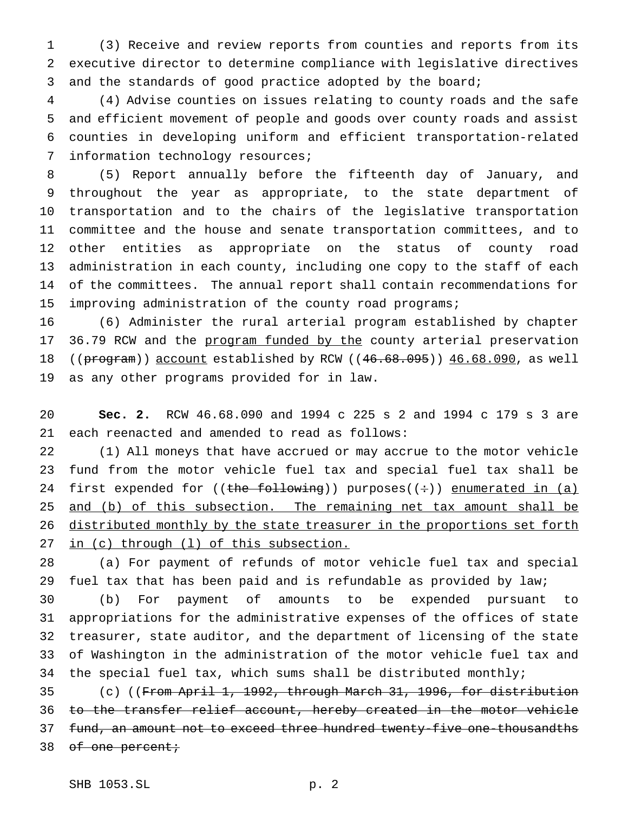(3) Receive and review reports from counties and reports from its executive director to determine compliance with legislative directives and the standards of good practice adopted by the board;

 (4) Advise counties on issues relating to county roads and the safe and efficient movement of people and goods over county roads and assist counties in developing uniform and efficient transportation-related information technology resources;

 (5) Report annually before the fifteenth day of January, and throughout the year as appropriate, to the state department of transportation and to the chairs of the legislative transportation committee and the house and senate transportation committees, and to other entities as appropriate on the status of county road administration in each county, including one copy to the staff of each of the committees. The annual report shall contain recommendations for 15 improving administration of the county road programs;

 (6) Administer the rural arterial program established by chapter 17 36.79 RCW and the program funded by the county arterial preservation 18 ((program)) account established by RCW ((46.68.095)) 46.68.090, as well as any other programs provided for in law.

 **Sec. 2.** RCW 46.68.090 and 1994 c 225 s 2 and 1994 c 179 s 3 are each reenacted and amended to read as follows:

 (1) All moneys that have accrued or may accrue to the motor vehicle fund from the motor vehicle fuel tax and special fuel tax shall be 24 first expended for  $((the following))$  purposes $((\div))$  enumerated in  $(a)$ 25 and (b) of this subsection. The remaining net tax amount shall be distributed monthly by the state treasurer in the proportions set forth 27 in (c) through (1) of this subsection.

 (a) For payment of refunds of motor vehicle fuel tax and special 29 fuel tax that has been paid and is refundable as provided by law;

 (b) For payment of amounts to be expended pursuant to appropriations for the administrative expenses of the offices of state treasurer, state auditor, and the department of licensing of the state of Washington in the administration of the motor vehicle fuel tax and 34 the special fuel tax, which sums shall be distributed monthly;

 (c) ((From April 1, 1992, through March 31, 1996, for distribution to the transfer relief account, hereby created in the motor vehicle fund, an amount not to exceed three hundred twenty-five one-thousandths 38 of one percent;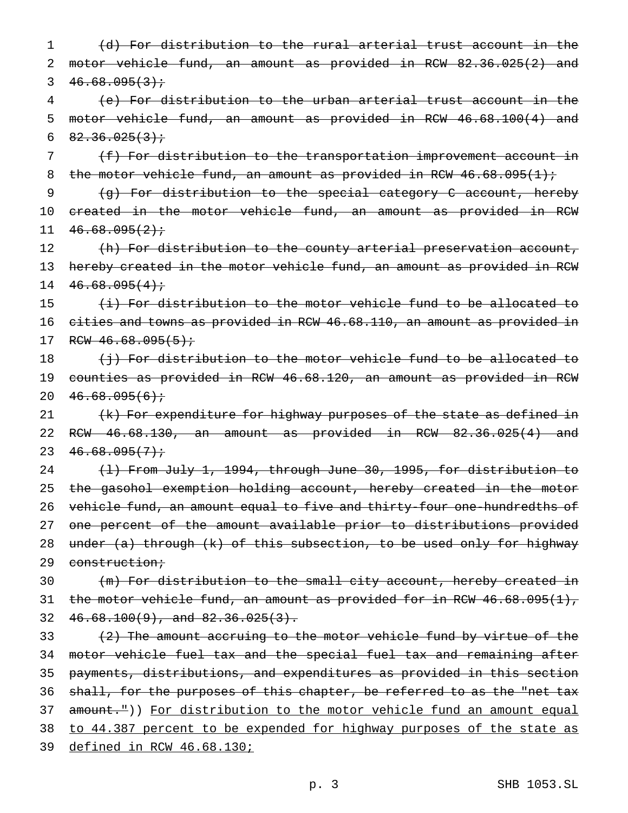1 (d) For distribution to the rural arterial trust account in the 2 motor vehicle fund, an amount as provided in RCW 82.36.025(2) and 3  $46.68.095(3)$ ; 4 (e) For distribution to the urban arterial trust account in the 5 motor vehicle fund, an amount as provided in RCW 46.68.100(4) and 6  $82.36.025(3)$  i 7 (f) For distribution to the transportation improvement account in 8 the motor vehicle fund, an amount as provided in RCW  $46.68.095(1)$ ; 9 (g) For distribution to the special category C account, hereby 10 created in the motor vehicle fund, an amount as provided in RCW  $11 \quad 46.68.095(2)$ 12 (h) For distribution to the county arterial preservation account, 13 hereby created in the motor vehicle fund, an amount as provided in RCW  $14 \quad 46.68.095(4)$ 15 (i) For distribution to the motor vehicle fund to be allocated to 16 cities and towns as provided in RCW 46.68.110, an amount as provided in 17 RCW  $46.68.095(5)$ ; 18 (i) For distribution to the motor vehicle fund to be allocated to 19 counties as provided in RCW 46.68.120, an amount as provided in RCW 20  $46.68.095(6)$ ; 21 (k) For expenditure for highway purposes of the state as defined in 22 RCW 46.68.130, an amount as provided in RCW 82.36.025(4) and 23  $46.68.095(7)$ 24 (1) From July 1, 1994, through June 30, 1995, for distribution to 25 the gasohol exemption holding account, hereby created in the motor 26 vehicle fund, an amount equal to five and thirty-four one-hundredths of 27 one percent of the amount available prior to distributions provided 28 under (a) through (k) of this subsection, to be used only for highway 29 construction; 30 (m) For distribution to the small city account, hereby created in 31 the motor vehicle fund, an amount as provided for in RCW 46.68.095(1), 32  $46.68.100(9)$ , and  $82.36.025(3)$ .

 $(2)$  The amount accruing to the motor vehicle fund by virtue of the motor vehicle fuel tax and the special fuel tax and remaining after payments, distributions, and expenditures as provided in this section 36 shall, for the purposes of this chapter, be referred to as the "net tax 37 amount.")) For distribution to the motor vehicle fund an amount equal to 44.387 percent to be expended for highway purposes of the state as defined in RCW 46.68.130;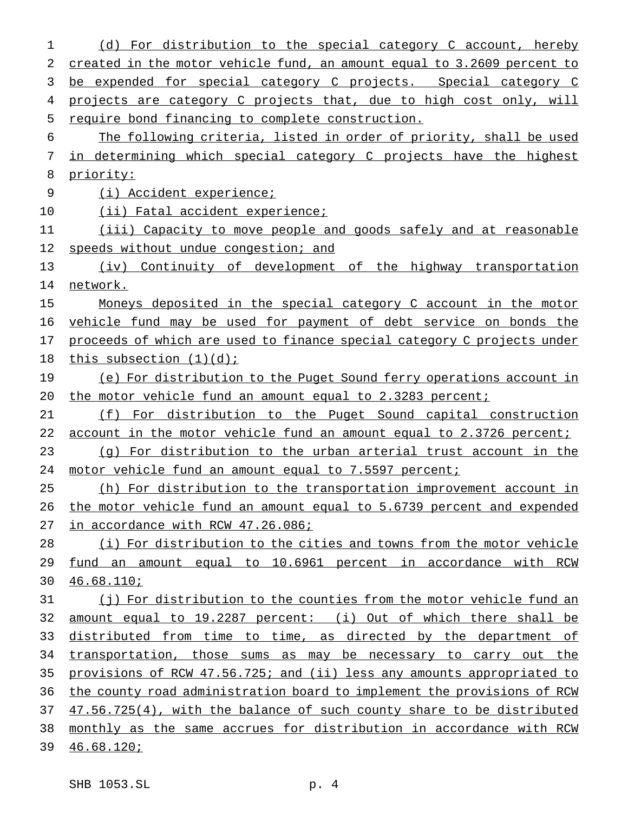(d) For distribution to the special category C account, hereby created in the motor vehicle fund, an amount equal to 3.2609 percent to be expended for special category C projects. Special category C projects are category C projects that, due to high cost only, will require bond financing to complete construction. The following criteria, listed in order of priority, shall be used in determining which special category C projects have the highest priority: (i) Accident experience; 10 (ii) Fatal accident experience; 11 (iii) Capacity to move people and goods safely and at reasonable 12 speeds without undue congestion; and (iv) Continuity of development of the highway transportation network. 15 Moneys deposited in the special category C account in the motor vehicle fund may be used for payment of debt service on bonds the 17 proceeds of which are used to finance special category C projects under 18 this subsection (1)(d); (e) For distribution to the Puget Sound ferry operations account in the motor vehicle fund an amount equal to 2.3283 percent; (f) For distribution to the Puget Sound capital construction 22 account in the motor vehicle fund an amount equal to 2.3726 percent; (g) For distribution to the urban arterial trust account in the 24 motor vehicle fund an amount equal to 7.5597 percent; (h) For distribution to the transportation improvement account in the motor vehicle fund an amount equal to 5.6739 percent and expended 27 in accordance with RCW 47.26.086; 28 (i) For distribution to the cities and towns from the motor vehicle fund an amount equal to 10.6961 percent in accordance with RCW 46.68.110; (j) For distribution to the counties from the motor vehicle fund an amount equal to 19.2287 percent: (i) Out of which there shall be distributed from time to time, as directed by the department of 34 transportation, those sums as may be necessary to carry out the provisions of RCW 47.56.725; and (ii) less any amounts appropriated to the county road administration board to implement the provisions of RCW 47.56.725(4), with the balance of such county share to be distributed monthly as the same accrues for distribution in accordance with RCW 46.68.120;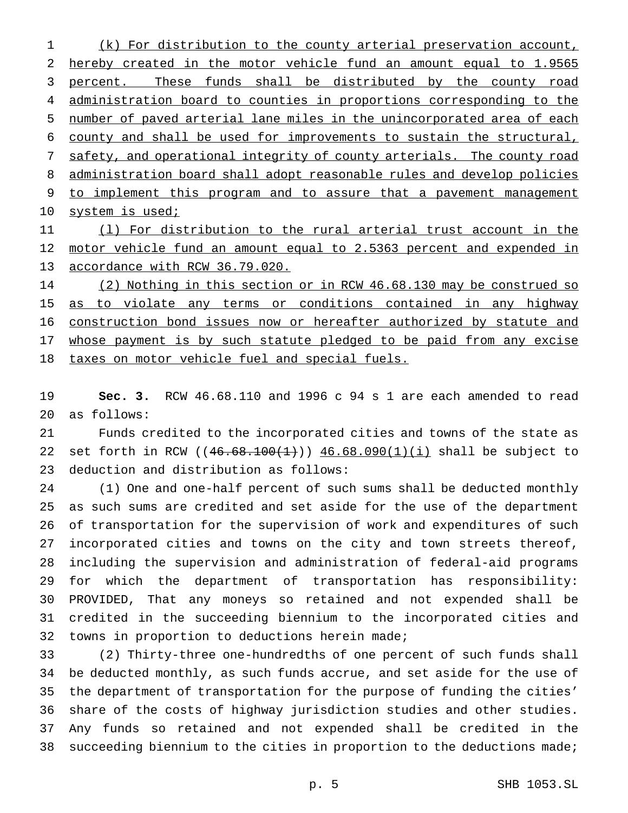(k) For distribution to the county arterial preservation account, hereby created in the motor vehicle fund an amount equal to 1.9565 3 percent. These funds shall be distributed by the county road administration board to counties in proportions corresponding to the number of paved arterial lane miles in the unincorporated area of each county and shall be used for improvements to sustain the structural, safety, and operational integrity of county arterials. The county road administration board shall adopt reasonable rules and develop policies to implement this program and to assure that a pavement management 10 system is used;

 (l) For distribution to the rural arterial trust account in the 12 motor vehicle fund an amount equal to 2.5363 percent and expended in accordance with RCW 36.79.020.

 (2) Nothing in this section or in RCW 46.68.130 may be construed so 15 as to violate any terms or conditions contained in any highway construction bond issues now or hereafter authorized by statute and 17 whose payment is by such statute pledged to be paid from any excise taxes on motor vehicle fuel and special fuels.

 **Sec. 3.** RCW 46.68.110 and 1996 c 94 s 1 are each amended to read as follows:

 Funds credited to the incorporated cities and towns of the state as 22 set forth in RCW ( $(46.68.100(1))$ )  $46.68.090(1)(i)$  shall be subject to deduction and distribution as follows:

 (1) One and one-half percent of such sums shall be deducted monthly as such sums are credited and set aside for the use of the department of transportation for the supervision of work and expenditures of such incorporated cities and towns on the city and town streets thereof, including the supervision and administration of federal-aid programs for which the department of transportation has responsibility: PROVIDED, That any moneys so retained and not expended shall be credited in the succeeding biennium to the incorporated cities and towns in proportion to deductions herein made;

 (2) Thirty-three one-hundredths of one percent of such funds shall be deducted monthly, as such funds accrue, and set aside for the use of the department of transportation for the purpose of funding the cities' share of the costs of highway jurisdiction studies and other studies. Any funds so retained and not expended shall be credited in the succeeding biennium to the cities in proportion to the deductions made;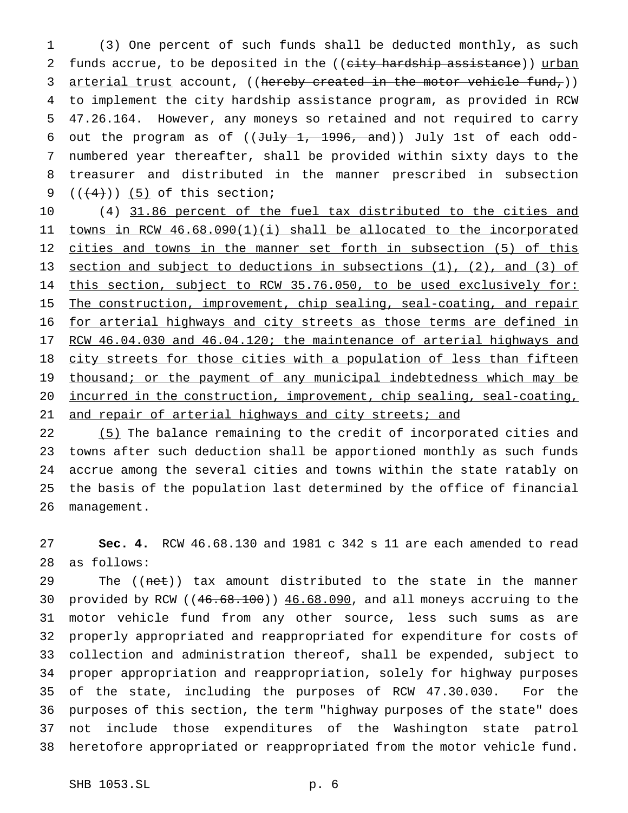(3) One percent of such funds shall be deducted monthly, as such 2 funds accrue, to be deposited in the ((city hardship assistance)) urban 3 arterial trust account, ((hereby created in the motor vehicle fund,)) to implement the city hardship assistance program, as provided in RCW 47.26.164. However, any moneys so retained and not required to carry 6 out the program as of  $((\text{July 1, 1996, and}))$  July 1st of each odd- numbered year thereafter, shall be provided within sixty days to the treasurer and distributed in the manner prescribed in subsection  $((+4))$   $(5)$  of this section;

 (4) 31.86 percent of the fuel tax distributed to the cities and towns in RCW 46.68.090(1)(i) shall be allocated to the incorporated 12 cities and towns in the manner set forth in subsection (5) of this section and subject to deductions in subsections (1), (2), and (3) of 14 this section, subject to RCW 35.76.050, to be used exclusively for: 15 The construction, improvement, chip sealing, seal-coating, and repair 16 for arterial highways and city streets as those terms are defined in 17 RCW 46.04.030 and 46.04.120; the maintenance of arterial highways and 18 city streets for those cities with a population of less than fifteen 19 thousand; or the payment of any municipal indebtedness which may be incurred in the construction, improvement, chip sealing, seal-coating, 21 and repair of arterial highways and city streets; and

22 (5) The balance remaining to the credit of incorporated cities and towns after such deduction shall be apportioned monthly as such funds accrue among the several cities and towns within the state ratably on the basis of the population last determined by the office of financial management.

 **Sec. 4.** RCW 46.68.130 and 1981 c 342 s 11 are each amended to read as follows:

29 The ((net)) tax amount distributed to the state in the manner provided by RCW ((46.68.100)) 46.68.090, and all moneys accruing to the motor vehicle fund from any other source, less such sums as are properly appropriated and reappropriated for expenditure for costs of collection and administration thereof, shall be expended, subject to proper appropriation and reappropriation, solely for highway purposes of the state, including the purposes of RCW 47.30.030. For the purposes of this section, the term "highway purposes of the state" does not include those expenditures of the Washington state patrol heretofore appropriated or reappropriated from the motor vehicle fund.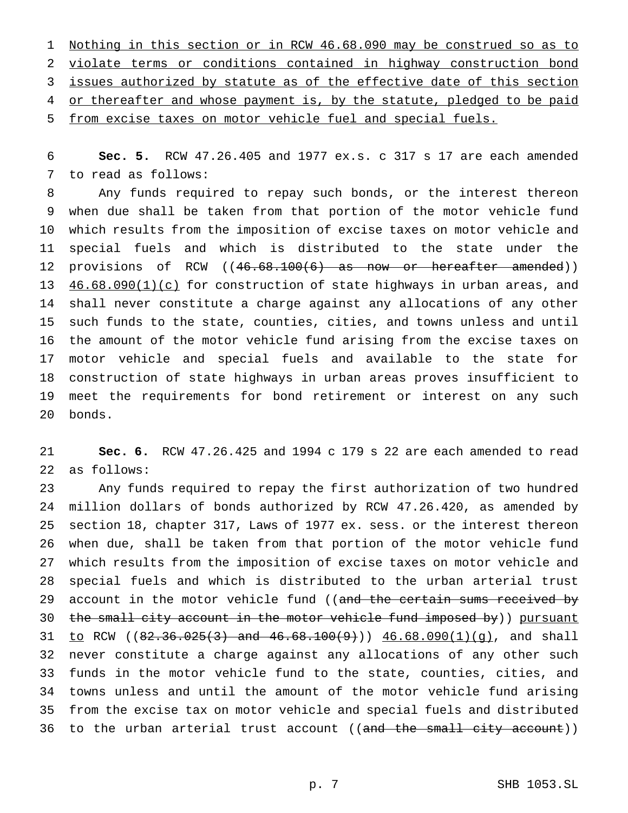Nothing in this section or in RCW 46.68.090 may be construed so as to violate terms or conditions contained in highway construction bond 3 issues authorized by statute as of the effective date of this section 4 or thereafter and whose payment is, by the statute, pledged to be paid from excise taxes on motor vehicle fuel and special fuels.

 **Sec. 5.** RCW 47.26.405 and 1977 ex.s. c 317 s 17 are each amended to read as follows:

 Any funds required to repay such bonds, or the interest thereon when due shall be taken from that portion of the motor vehicle fund which results from the imposition of excise taxes on motor vehicle and special fuels and which is distributed to the state under the 12 provisions of RCW ((46.68.100(6) as now or hereafter amended)) 13 46.68.090(1)(c) for construction of state highways in urban areas, and shall never constitute a charge against any allocations of any other such funds to the state, counties, cities, and towns unless and until the amount of the motor vehicle fund arising from the excise taxes on motor vehicle and special fuels and available to the state for construction of state highways in urban areas proves insufficient to meet the requirements for bond retirement or interest on any such bonds.

 **Sec. 6.** RCW 47.26.425 and 1994 c 179 s 22 are each amended to read as follows:

 Any funds required to repay the first authorization of two hundred million dollars of bonds authorized by RCW 47.26.420, as amended by section 18, chapter 317, Laws of 1977 ex. sess. or the interest thereon when due, shall be taken from that portion of the motor vehicle fund which results from the imposition of excise taxes on motor vehicle and special fuels and which is distributed to the urban arterial trust 29 account in the motor vehicle fund ((and the certain sums received by 30 the small city account in the motor vehicle fund imposed by)) pursuant 31 to RCW ( $82.36.025(3)$  and  $46.68.100(9)$ ))  $46.68.090(1)(g)$ , and shall never constitute a charge against any allocations of any other such funds in the motor vehicle fund to the state, counties, cities, and towns unless and until the amount of the motor vehicle fund arising from the excise tax on motor vehicle and special fuels and distributed 36 to the urban arterial trust account ((and the small city account))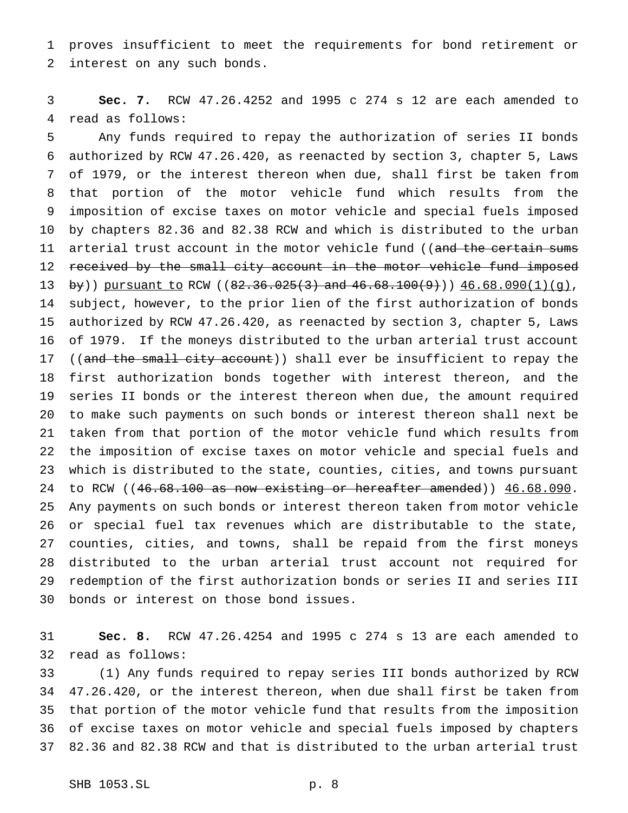proves insufficient to meet the requirements for bond retirement or interest on any such bonds.

 **Sec. 7.** RCW 47.26.4252 and 1995 c 274 s 12 are each amended to read as follows:

 Any funds required to repay the authorization of series II bonds authorized by RCW 47.26.420, as reenacted by section 3, chapter 5, Laws of 1979, or the interest thereon when due, shall first be taken from that portion of the motor vehicle fund which results from the imposition of excise taxes on motor vehicle and special fuels imposed by chapters 82.36 and 82.38 RCW and which is distributed to the urban 11 arterial trust account in the motor vehicle fund ((and the certain sums 12 received by the small city account in the motor vehicle fund imposed 13 by)) pursuant to RCW ( $(82.36.025(3)$  and  $46.68.100(9)$ ))  $46.68.090(1)(q)$ , subject, however, to the prior lien of the first authorization of bonds authorized by RCW 47.26.420, as reenacted by section 3, chapter 5, Laws of 1979. If the moneys distributed to the urban arterial trust account 17 ((and the small city account)) shall ever be insufficient to repay the first authorization bonds together with interest thereon, and the series II bonds or the interest thereon when due, the amount required to make such payments on such bonds or interest thereon shall next be taken from that portion of the motor vehicle fund which results from the imposition of excise taxes on motor vehicle and special fuels and which is distributed to the state, counties, cities, and towns pursuant 24 to RCW ((46.68.100 as now existing or hereafter amended)) 46.68.090. Any payments on such bonds or interest thereon taken from motor vehicle or special fuel tax revenues which are distributable to the state, counties, cities, and towns, shall be repaid from the first moneys distributed to the urban arterial trust account not required for redemption of the first authorization bonds or series II and series III bonds or interest on those bond issues.

 **Sec. 8.** RCW 47.26.4254 and 1995 c 274 s 13 are each amended to read as follows:

 (1) Any funds required to repay series III bonds authorized by RCW 47.26.420, or the interest thereon, when due shall first be taken from that portion of the motor vehicle fund that results from the imposition of excise taxes on motor vehicle and special fuels imposed by chapters 82.36 and 82.38 RCW and that is distributed to the urban arterial trust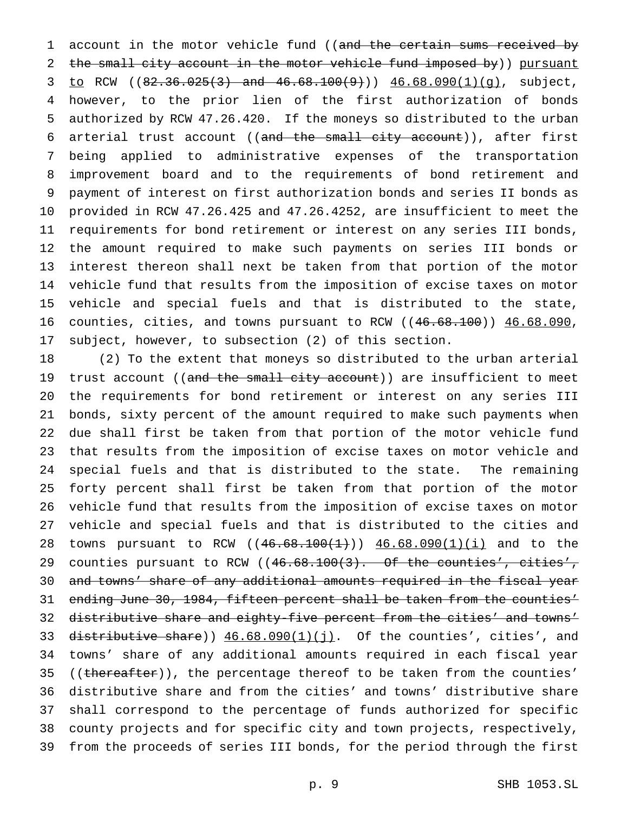1 account in the motor vehicle fund ((and the certain sums received by the small city account in the motor vehicle fund imposed by)) pursuant 3 to RCW  $(82.36.025(3)$  and  $46.68.100(9)$ ))  $46.68.090(1)(g)$ , subject, however, to the prior lien of the first authorization of bonds authorized by RCW 47.26.420. If the moneys so distributed to the urban 6 arterial trust account ((and the small city account)), after first being applied to administrative expenses of the transportation improvement board and to the requirements of bond retirement and payment of interest on first authorization bonds and series II bonds as provided in RCW 47.26.425 and 47.26.4252, are insufficient to meet the requirements for bond retirement or interest on any series III bonds, the amount required to make such payments on series III bonds or interest thereon shall next be taken from that portion of the motor vehicle fund that results from the imposition of excise taxes on motor vehicle and special fuels and that is distributed to the state, counties, cities, and towns pursuant to RCW ((46.68.100)) 46.68.090, subject, however, to subsection (2) of this section.

 (2) To the extent that moneys so distributed to the urban arterial 19 trust account ((and the small city account)) are insufficient to meet the requirements for bond retirement or interest on any series III bonds, sixty percent of the amount required to make such payments when due shall first be taken from that portion of the motor vehicle fund that results from the imposition of excise taxes on motor vehicle and special fuels and that is distributed to the state. The remaining forty percent shall first be taken from that portion of the motor vehicle fund that results from the imposition of excise taxes on motor vehicle and special fuels and that is distributed to the cities and 28 towns pursuant to RCW  $((46.68.100(1))$   $46.68.090(1)(i)$  and to the 29 counties pursuant to RCW ((46.68.100(3). Of the counties', cities', and towns' share of any additional amounts required in the fiscal year ending June 30, 1984, fifteen percent shall be taken from the counties' distributive share and eighty-five percent from the cities' and towns' 33 distributive share))  $46.68.090(1)(j)$ . Of the counties', cities', and towns' share of any additional amounts required in each fiscal year 35 (( $\theta$ ) (( $\theta$ ) ( $\theta$ )), the percentage thereof to be taken from the counties' distributive share and from the cities' and towns' distributive share shall correspond to the percentage of funds authorized for specific county projects and for specific city and town projects, respectively, from the proceeds of series III bonds, for the period through the first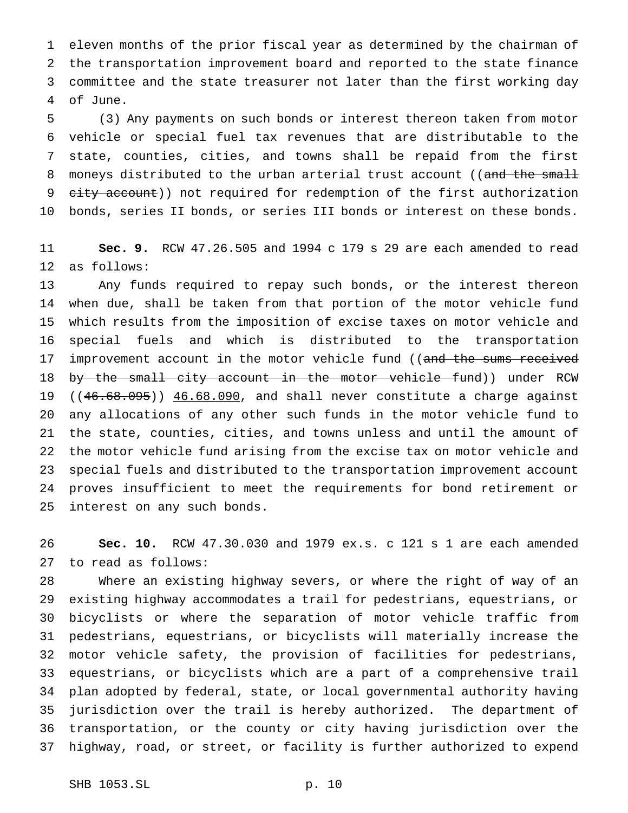eleven months of the prior fiscal year as determined by the chairman of the transportation improvement board and reported to the state finance committee and the state treasurer not later than the first working day of June.

 (3) Any payments on such bonds or interest thereon taken from motor vehicle or special fuel tax revenues that are distributable to the state, counties, cities, and towns shall be repaid from the first 8 moneys distributed to the urban arterial trust account ((and the small 9 city account)) not required for redemption of the first authorization bonds, series II bonds, or series III bonds or interest on these bonds.

 **Sec. 9.** RCW 47.26.505 and 1994 c 179 s 29 are each amended to read as follows:

 Any funds required to repay such bonds, or the interest thereon when due, shall be taken from that portion of the motor vehicle fund which results from the imposition of excise taxes on motor vehicle and special fuels and which is distributed to the transportation 17 improvement account in the motor vehicle fund ((and the sums received 18 by the small city account in the motor vehicle fund)) under RCW 19 ((46.68.095)) 46.68.090, and shall never constitute a charge against any allocations of any other such funds in the motor vehicle fund to the state, counties, cities, and towns unless and until the amount of the motor vehicle fund arising from the excise tax on motor vehicle and special fuels and distributed to the transportation improvement account proves insufficient to meet the requirements for bond retirement or interest on any such bonds.

 **Sec. 10.** RCW 47.30.030 and 1979 ex.s. c 121 s 1 are each amended to read as follows:

 Where an existing highway severs, or where the right of way of an existing highway accommodates a trail for pedestrians, equestrians, or bicyclists or where the separation of motor vehicle traffic from pedestrians, equestrians, or bicyclists will materially increase the motor vehicle safety, the provision of facilities for pedestrians, equestrians, or bicyclists which are a part of a comprehensive trail plan adopted by federal, state, or local governmental authority having jurisdiction over the trail is hereby authorized. The department of transportation, or the county or city having jurisdiction over the highway, road, or street, or facility is further authorized to expend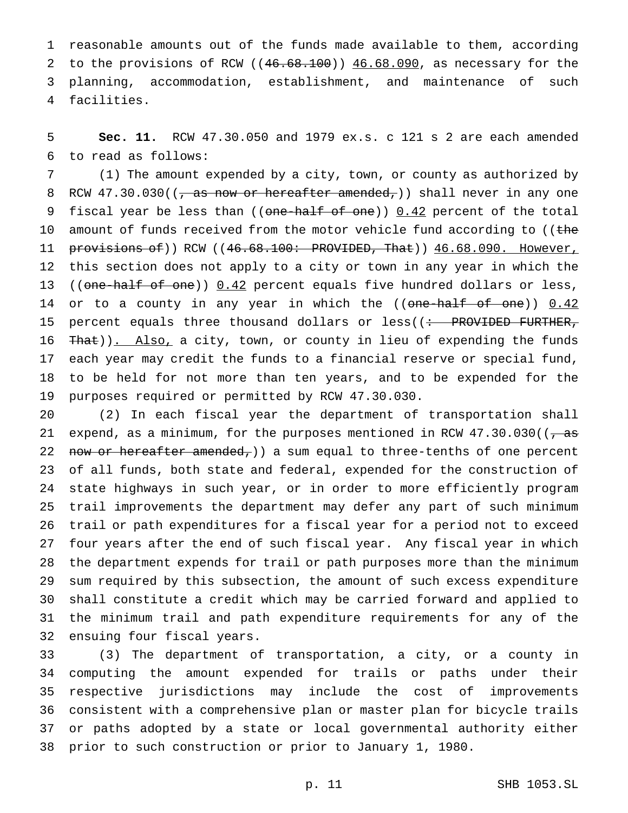reasonable amounts out of the funds made available to them, according 2 to the provisions of RCW ((46.68.100)) 46.68.090, as necessary for the planning, accommodation, establishment, and maintenance of such facilities.

 **Sec. 11.** RCW 47.30.050 and 1979 ex.s. c 121 s 2 are each amended to read as follows:

 (1) The amount expended by a city, town, or county as authorized by 8 RCW 47.30.030((, as now or hereafter amended,)) shall never in any one 9 fiscal year be less than (( $\theta$ ne-half of one))  $0.42$  percent of the total 10 amount of funds received from the motor vehicle fund according to ((the 11 provisions of)) RCW ((46.68.100: PROVIDED, That)) 46.68.090. However, this section does not apply to a city or town in any year in which the 13 ((one-half of one)) 0.42 percent equals five hundred dollars or less, 14 or to a county in any year in which the ((one-half of one)) 0.42 15 percent equals three thousand dollars or less( $($  : PROVIDED FURTHER, 16 That)). Also, a city, town, or county in lieu of expending the funds each year may credit the funds to a financial reserve or special fund, to be held for not more than ten years, and to be expended for the purposes required or permitted by RCW 47.30.030.

 (2) In each fiscal year the department of transportation shall 21 expend, as a minimum, for the purposes mentioned in RCW  $47.30.030$  ( $\sqrt{as}$ 22 now or hereafter amended,) a sum equal to three-tenths of one percent of all funds, both state and federal, expended for the construction of state highways in such year, or in order to more efficiently program trail improvements the department may defer any part of such minimum trail or path expenditures for a fiscal year for a period not to exceed four years after the end of such fiscal year. Any fiscal year in which the department expends for trail or path purposes more than the minimum sum required by this subsection, the amount of such excess expenditure shall constitute a credit which may be carried forward and applied to the minimum trail and path expenditure requirements for any of the ensuing four fiscal years.

 (3) The department of transportation, a city, or a county in computing the amount expended for trails or paths under their respective jurisdictions may include the cost of improvements consistent with a comprehensive plan or master plan for bicycle trails or paths adopted by a state or local governmental authority either prior to such construction or prior to January 1, 1980.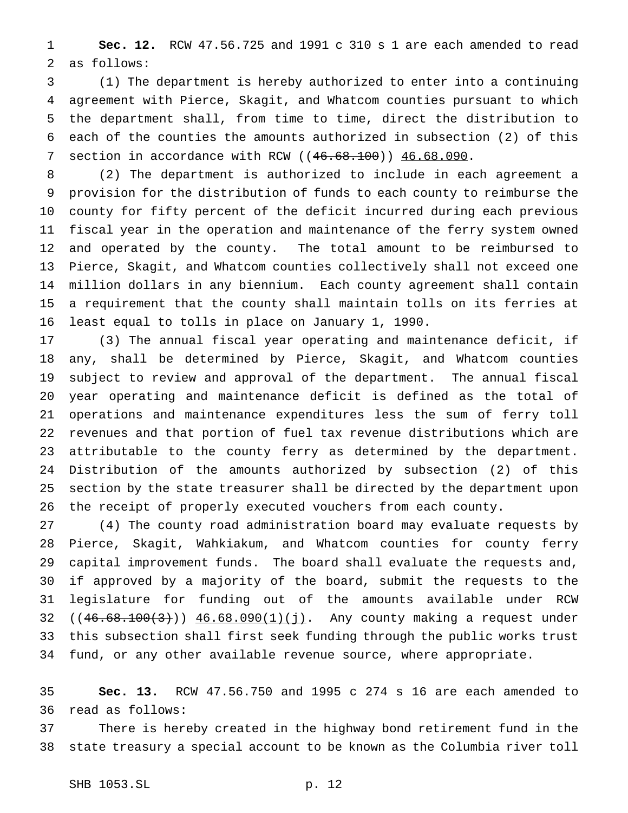**Sec. 12.** RCW 47.56.725 and 1991 c 310 s 1 are each amended to read as follows:

 (1) The department is hereby authorized to enter into a continuing agreement with Pierce, Skagit, and Whatcom counties pursuant to which the department shall, from time to time, direct the distribution to each of the counties the amounts authorized in subsection (2) of this 7 section in accordance with RCW ((46.68.100)) 46.68.090.

 (2) The department is authorized to include in each agreement a provision for the distribution of funds to each county to reimburse the county for fifty percent of the deficit incurred during each previous fiscal year in the operation and maintenance of the ferry system owned and operated by the county. The total amount to be reimbursed to Pierce, Skagit, and Whatcom counties collectively shall not exceed one million dollars in any biennium. Each county agreement shall contain a requirement that the county shall maintain tolls on its ferries at least equal to tolls in place on January 1, 1990.

 (3) The annual fiscal year operating and maintenance deficit, if any, shall be determined by Pierce, Skagit, and Whatcom counties subject to review and approval of the department. The annual fiscal year operating and maintenance deficit is defined as the total of operations and maintenance expenditures less the sum of ferry toll revenues and that portion of fuel tax revenue distributions which are attributable to the county ferry as determined by the department. Distribution of the amounts authorized by subsection (2) of this section by the state treasurer shall be directed by the department upon the receipt of properly executed vouchers from each county.

 (4) The county road administration board may evaluate requests by Pierce, Skagit, Wahkiakum, and Whatcom counties for county ferry capital improvement funds. The board shall evaluate the requests and, if approved by a majority of the board, submit the requests to the legislature for funding out of the amounts available under RCW 32 ((46.68.100(3))) 46.68.090(1)(j). Any county making a request under this subsection shall first seek funding through the public works trust fund, or any other available revenue source, where appropriate.

 **Sec. 13.** RCW 47.56.750 and 1995 c 274 s 16 are each amended to read as follows:

 There is hereby created in the highway bond retirement fund in the state treasury a special account to be known as the Columbia river toll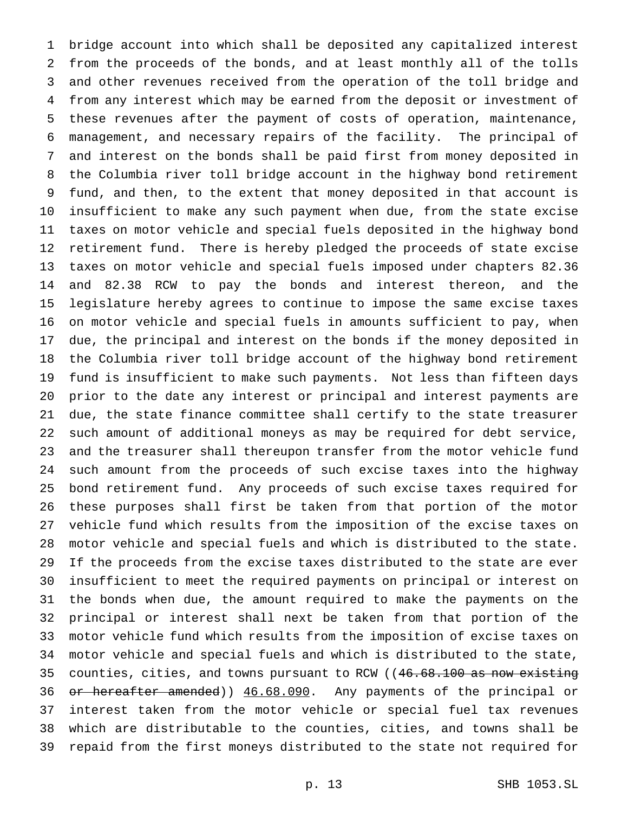bridge account into which shall be deposited any capitalized interest from the proceeds of the bonds, and at least monthly all of the tolls and other revenues received from the operation of the toll bridge and from any interest which may be earned from the deposit or investment of these revenues after the payment of costs of operation, maintenance, management, and necessary repairs of the facility. The principal of and interest on the bonds shall be paid first from money deposited in the Columbia river toll bridge account in the highway bond retirement fund, and then, to the extent that money deposited in that account is insufficient to make any such payment when due, from the state excise taxes on motor vehicle and special fuels deposited in the highway bond retirement fund. There is hereby pledged the proceeds of state excise taxes on motor vehicle and special fuels imposed under chapters 82.36 and 82.38 RCW to pay the bonds and interest thereon, and the legislature hereby agrees to continue to impose the same excise taxes on motor vehicle and special fuels in amounts sufficient to pay, when due, the principal and interest on the bonds if the money deposited in the Columbia river toll bridge account of the highway bond retirement fund is insufficient to make such payments. Not less than fifteen days prior to the date any interest or principal and interest payments are due, the state finance committee shall certify to the state treasurer such amount of additional moneys as may be required for debt service, and the treasurer shall thereupon transfer from the motor vehicle fund such amount from the proceeds of such excise taxes into the highway bond retirement fund. Any proceeds of such excise taxes required for these purposes shall first be taken from that portion of the motor vehicle fund which results from the imposition of the excise taxes on motor vehicle and special fuels and which is distributed to the state. If the proceeds from the excise taxes distributed to the state are ever insufficient to meet the required payments on principal or interest on the bonds when due, the amount required to make the payments on the principal or interest shall next be taken from that portion of the motor vehicle fund which results from the imposition of excise taxes on motor vehicle and special fuels and which is distributed to the state, 35 counties, cities, and towns pursuant to RCW ((46.68.100 as now existing 36 or hereafter amended)) 46.68.090. Any payments of the principal or interest taken from the motor vehicle or special fuel tax revenues which are distributable to the counties, cities, and towns shall be repaid from the first moneys distributed to the state not required for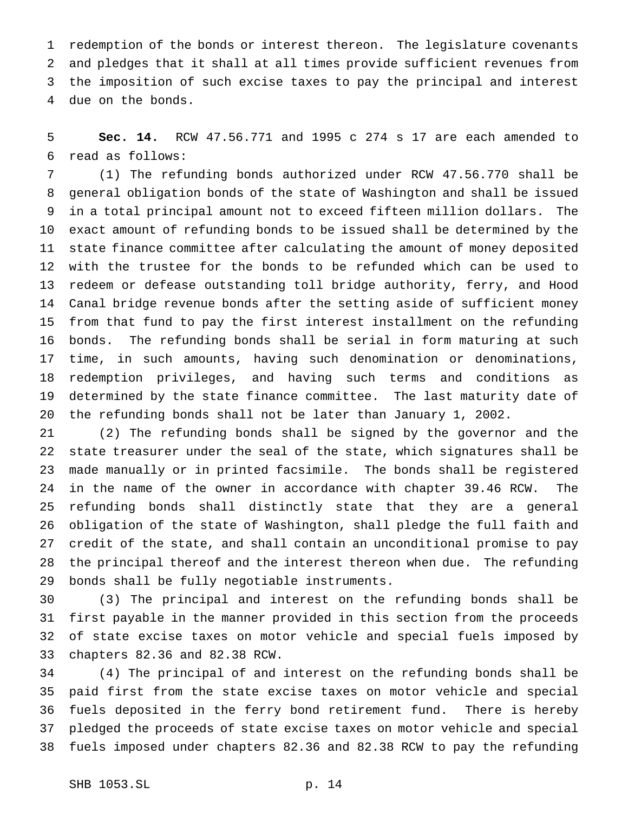redemption of the bonds or interest thereon. The legislature covenants and pledges that it shall at all times provide sufficient revenues from the imposition of such excise taxes to pay the principal and interest due on the bonds.

 **Sec. 14.** RCW 47.56.771 and 1995 c 274 s 17 are each amended to read as follows:

 (1) The refunding bonds authorized under RCW 47.56.770 shall be general obligation bonds of the state of Washington and shall be issued in a total principal amount not to exceed fifteen million dollars. The exact amount of refunding bonds to be issued shall be determined by the state finance committee after calculating the amount of money deposited with the trustee for the bonds to be refunded which can be used to redeem or defease outstanding toll bridge authority, ferry, and Hood Canal bridge revenue bonds after the setting aside of sufficient money from that fund to pay the first interest installment on the refunding bonds. The refunding bonds shall be serial in form maturing at such time, in such amounts, having such denomination or denominations, redemption privileges, and having such terms and conditions as determined by the state finance committee. The last maturity date of the refunding bonds shall not be later than January 1, 2002.

 (2) The refunding bonds shall be signed by the governor and the state treasurer under the seal of the state, which signatures shall be made manually or in printed facsimile. The bonds shall be registered in the name of the owner in accordance with chapter 39.46 RCW. The refunding bonds shall distinctly state that they are a general obligation of the state of Washington, shall pledge the full faith and credit of the state, and shall contain an unconditional promise to pay the principal thereof and the interest thereon when due. The refunding bonds shall be fully negotiable instruments.

 (3) The principal and interest on the refunding bonds shall be first payable in the manner provided in this section from the proceeds of state excise taxes on motor vehicle and special fuels imposed by chapters 82.36 and 82.38 RCW.

 (4) The principal of and interest on the refunding bonds shall be paid first from the state excise taxes on motor vehicle and special fuels deposited in the ferry bond retirement fund. There is hereby pledged the proceeds of state excise taxes on motor vehicle and special fuels imposed under chapters 82.36 and 82.38 RCW to pay the refunding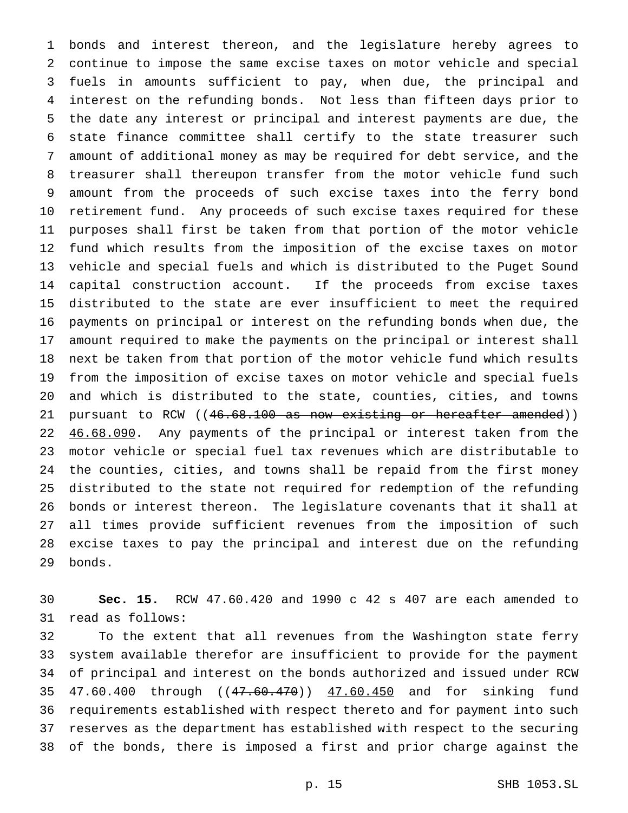bonds and interest thereon, and the legislature hereby agrees to continue to impose the same excise taxes on motor vehicle and special fuels in amounts sufficient to pay, when due, the principal and interest on the refunding bonds. Not less than fifteen days prior to the date any interest or principal and interest payments are due, the state finance committee shall certify to the state treasurer such amount of additional money as may be required for debt service, and the treasurer shall thereupon transfer from the motor vehicle fund such amount from the proceeds of such excise taxes into the ferry bond retirement fund. Any proceeds of such excise taxes required for these purposes shall first be taken from that portion of the motor vehicle fund which results from the imposition of the excise taxes on motor vehicle and special fuels and which is distributed to the Puget Sound capital construction account. If the proceeds from excise taxes distributed to the state are ever insufficient to meet the required payments on principal or interest on the refunding bonds when due, the amount required to make the payments on the principal or interest shall next be taken from that portion of the motor vehicle fund which results from the imposition of excise taxes on motor vehicle and special fuels and which is distributed to the state, counties, cities, and towns 21 pursuant to RCW ((46.68.100 as now existing or hereafter amended)) 22 46.68.090. Any payments of the principal or interest taken from the motor vehicle or special fuel tax revenues which are distributable to the counties, cities, and towns shall be repaid from the first money distributed to the state not required for redemption of the refunding bonds or interest thereon. The legislature covenants that it shall at all times provide sufficient revenues from the imposition of such excise taxes to pay the principal and interest due on the refunding bonds.

 **Sec. 15.** RCW 47.60.420 and 1990 c 42 s 407 are each amended to read as follows:

 To the extent that all revenues from the Washington state ferry system available therefor are insufficient to provide for the payment of principal and interest on the bonds authorized and issued under RCW 35 47.60.400 through ((47.60.470)) 47.60.450 and for sinking fund requirements established with respect thereto and for payment into such reserves as the department has established with respect to the securing of the bonds, there is imposed a first and prior charge against the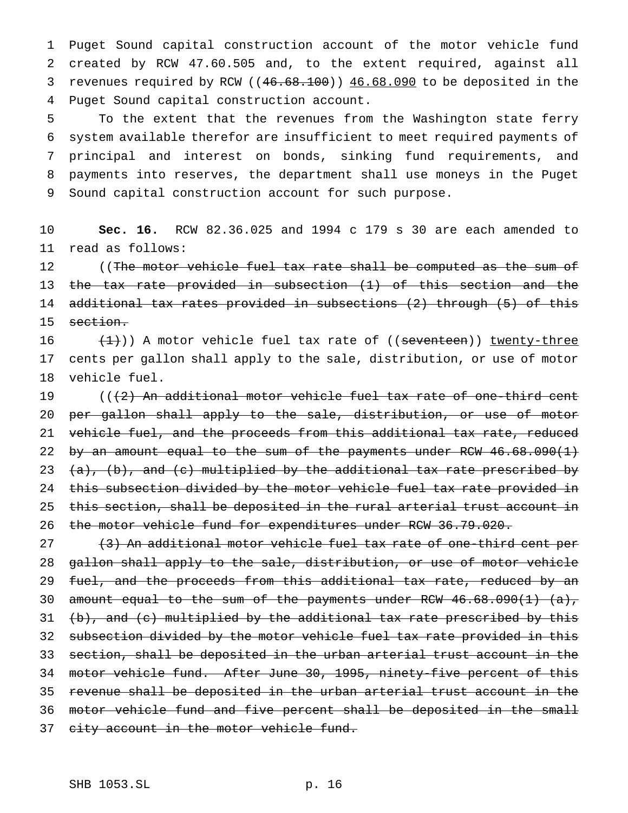Puget Sound capital construction account of the motor vehicle fund created by RCW 47.60.505 and, to the extent required, against all 3 revenues required by RCW ((46.68.100)) 46.68.090 to be deposited in the Puget Sound capital construction account.

 To the extent that the revenues from the Washington state ferry system available therefor are insufficient to meet required payments of principal and interest on bonds, sinking fund requirements, and payments into reserves, the department shall use moneys in the Puget Sound capital construction account for such purpose.

 **Sec. 16.** RCW 82.36.025 and 1994 c 179 s 30 are each amended to read as follows:

12 (The motor vehicle fuel tax rate shall be computed as the sum of the tax rate provided in subsection (1) of this section and the additional tax rates provided in subsections (2) through (5) of this 15 section.

 $(\frac{1}{1})$ ) A motor vehicle fuel tax rate of ((seventeen)) twenty-three cents per gallon shall apply to the sale, distribution, or use of motor vehicle fuel.

 $((2)$  An additional motor vehicle fuel tax rate of one-third cent per gallon shall apply to the sale, distribution, or use of motor 21 vehicle fuel, and the proceeds from this additional tax rate, reduced 22 by an amount equal to the sum of the payments under RCW 46.68.090(1) 23  $(a)$ , (b), and (c) multiplied by the additional tax rate prescribed by 24 this subsection divided by the motor vehicle fuel tax rate provided in 25 this section, shall be deposited in the rural arterial trust account in 26 the motor vehicle fund for expenditures under RCW 36.79.020.

27 (3) An additional motor vehicle fuel tax rate of one-third cent per gallon shall apply to the sale, distribution, or use of motor vehicle 29 fuel, and the proceeds from this additional tax rate, reduced by an amount equal to the sum of the payments under RCW 46.68.090(1) (a),  $(b)$ , and  $(c)$  multiplied by the additional tax rate prescribed by this 32 subsection divided by the motor vehicle fuel tax rate provided in this section, shall be deposited in the urban arterial trust account in the motor vehicle fund. After June 30, 1995, ninety-five percent of this revenue shall be deposited in the urban arterial trust account in the motor vehicle fund and five percent shall be deposited in the small 37 city account in the motor vehicle fund.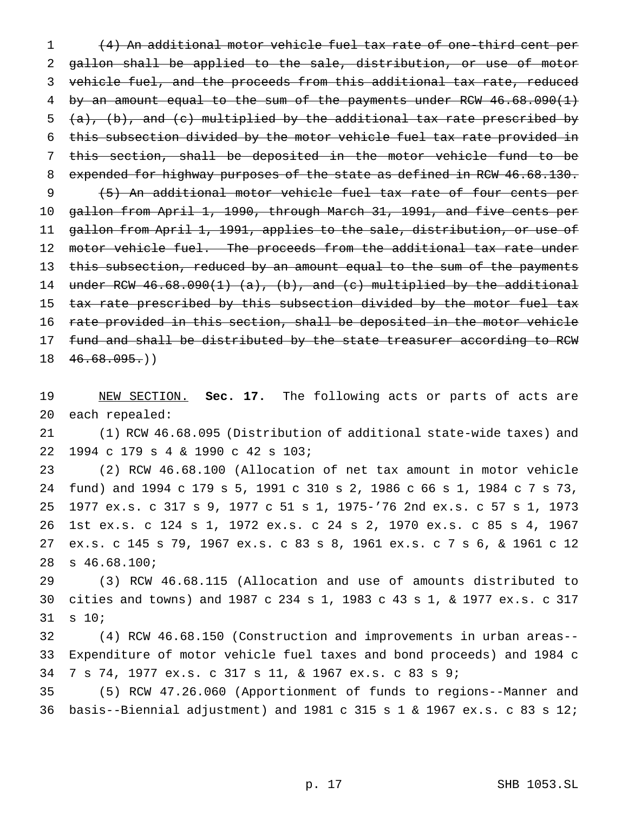(4) An additional motor vehicle fuel tax rate of one-third cent per gallon shall be applied to the sale, distribution, or use of motor vehicle fuel, and the proceeds from this additional tax rate, reduced by an amount equal to the sum of the payments under RCW 46.68.090(1)  $(a)$ ,  $(b)$ , and  $(c)$  multiplied by the additional tax rate prescribed by this subsection divided by the motor vehicle fuel tax rate provided in this section, shall be deposited in the motor vehicle fund to be 8 expended for highway purposes of the state as defined in RCW 46.68.130. (5) An additional motor vehicle fuel tax rate of four cents per gallon from April 1, 1990, through March 31, 1991, and five cents per gallon from April 1, 1991, applies to the sale, distribution, or use of 12 motor vehicle fuel. The proceeds from the additional tax rate under 13 this subsection, reduced by an amount equal to the sum of the payments 14 under RCW  $46.68.090(1)$  (a), (b), and (c) multiplied by the additional 15 tax rate prescribed by this subsection divided by the motor fuel tax rate provided in this section, shall be deposited in the motor vehicle 17 fund and shall be distributed by the state treasurer according to RCW  $18 \quad 46.68.095.)$ 

 NEW SECTION. **Sec. 17.** The following acts or parts of acts are each repealed:

 (1) RCW 46.68.095 (Distribution of additional state-wide taxes) and 1994 c 179 s 4 & 1990 c 42 s 103;

 (2) RCW 46.68.100 (Allocation of net tax amount in motor vehicle fund) and 1994 c 179 s 5, 1991 c 310 s 2, 1986 c 66 s 1, 1984 c 7 s 73, 1977 ex.s. c 317 s 9, 1977 c 51 s 1, 1975-'76 2nd ex.s. c 57 s 1, 1973 1st ex.s. c 124 s 1, 1972 ex.s. c 24 s 2, 1970 ex.s. c 85 s 4, 1967 ex.s. c 145 s 79, 1967 ex.s. c 83 s 8, 1961 ex.s. c 7 s 6, & 1961 c 12 s 46.68.100;

 (3) RCW 46.68.115 (Allocation and use of amounts distributed to cities and towns) and 1987 c 234 s 1, 1983 c 43 s 1, & 1977 ex.s. c 317 s 10;

 (4) RCW 46.68.150 (Construction and improvements in urban areas-- Expenditure of motor vehicle fuel taxes and bond proceeds) and 1984 c 7 s 74, 1977 ex.s. c 317 s 11, & 1967 ex.s. c 83 s 9;

 (5) RCW 47.26.060 (Apportionment of funds to regions--Manner and basis--Biennial adjustment) and 1981 c 315s1& 1967 ex.s. c 83 s 12;